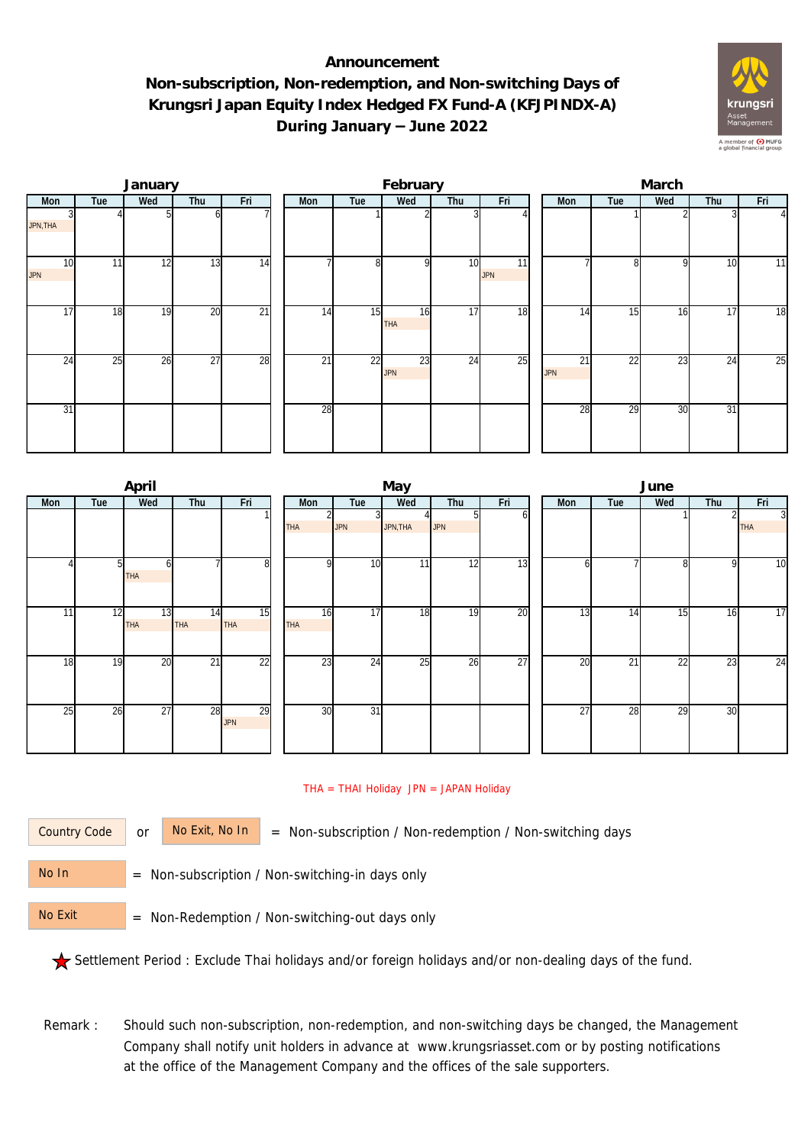## **Announcement Non-subscription, Non-redemption, and Non-switching Days of Krungsri Japan Equity Index Hedged FX Fund-A (KFJPINDX-A) During January – June 2022**



|                  |     | January |     |     | February |     |                  |     |                               |  | March            |     |     |                 |                |  |  |
|------------------|-----|---------|-----|-----|----------|-----|------------------|-----|-------------------------------|--|------------------|-----|-----|-----------------|----------------|--|--|
| Mon              | Tue | Wed     | Thu | Fri | Mon      | Tue | Wed              | Thu | Fri                           |  | Mon              | Tue | Wed | Thu             | Fri            |  |  |
| JPN, THA         |     |         |     |     |          |     |                  |     |                               |  |                  |     |     |                 | $\overline{4}$ |  |  |
| 10<br><b>JPN</b> | 11  | 12      | 13  | 14  |          | 8   | <sup>Q</sup>     | 10  | $\overline{11}$<br><b>JPN</b> |  |                  | 81  | 9   | 10              | 11             |  |  |
| $1\overline{7}$  | 18  | 19      | 20  | 21  | 14       | 15  | 16<br><b>THA</b> | 17  | 18                            |  | 14               | 15  | 16  | 17              | 18             |  |  |
| 24               | 25  | 26      | 27  | 28  | 21       | 22  | 23<br><b>JPN</b> | 24  | 25                            |  | 21<br><b>JPN</b> | 22  | 23  | 24              | 25             |  |  |
| 31               |     |         |     |     | 28       |     |                  |     |                               |  | 28               | 29  | 30  | $\overline{31}$ |                |  |  |

|     |                | April            |                 |                  |                  |                 | May      |                  |                 | June            |     |                 |              |                              |  |  |
|-----|----------------|------------------|-----------------|------------------|------------------|-----------------|----------|------------------|-----------------|-----------------|-----|-----------------|--------------|------------------------------|--|--|
| Mon | Tue            | Wed              | Thu             | Fri              | Mon              | Tue             | Wed      | Thu              | Fri             | Mon             | Tue | Wed             | Thu          | Fri                          |  |  |
|     |                |                  |                 |                  | <b>THA</b>       | 3<br><b>JPN</b> | JPN, THA | 51<br><b>JPN</b> | оl              |                 |     |                 |              | $\overline{3}$<br><b>THA</b> |  |  |
|     | 5 <sub>l</sub> | h<br>THA         |                 | 8                | n                | 10              | 11       | 12               | 13              | b               |     | 8               | $\mathsf{Q}$ | $\overline{10}$              |  |  |
| 11  | 12             | 13<br><b>THA</b> | 14<br>THA       | 15<br><b>THA</b> | 16<br><b>THA</b> | $\overline{17}$ | 18       | 19               | 20              | 13              | 14  | 15              | 16           | $\overline{17}$              |  |  |
| 18  | 19             | 20               | $\overline{21}$ | $\overline{22}$  | 23               | 24              | 25       | 26               | $\overline{27}$ | 20              | 21  | $\overline{22}$ | 23           | $\overline{24}$              |  |  |
| 25  | 26             | $\overline{27}$  | 28              | 29<br><b>JPN</b> | 30               | $\overline{31}$ |          |                  |                 | $\overline{27}$ | 28  | 29              | 30           |                              |  |  |

## THA = THAI Holiday JPN = JAPAN Holiday

Country Code

or  $\overline{\phantom{a}}$  No Exit, No In  $\overline{\phantom{a}}$  = Non-subscription / Non-redemption / Non-switching days

 = Non-subscription / Non-switching-in days only No In

 = Non-Redemption / Non-switching-out days only No Exit

Settlement Period : Exclude Thai holidays and/or foreign holidays and/or non-dealing days of the fund.

Remark : Should such non-subscription, non-redemption, and non-switching days be changed, the Management Company shall notify unit holders in advance at www.krungsriasset.com or by posting notifications at the office of the Management Company and the offices of the sale supporters.